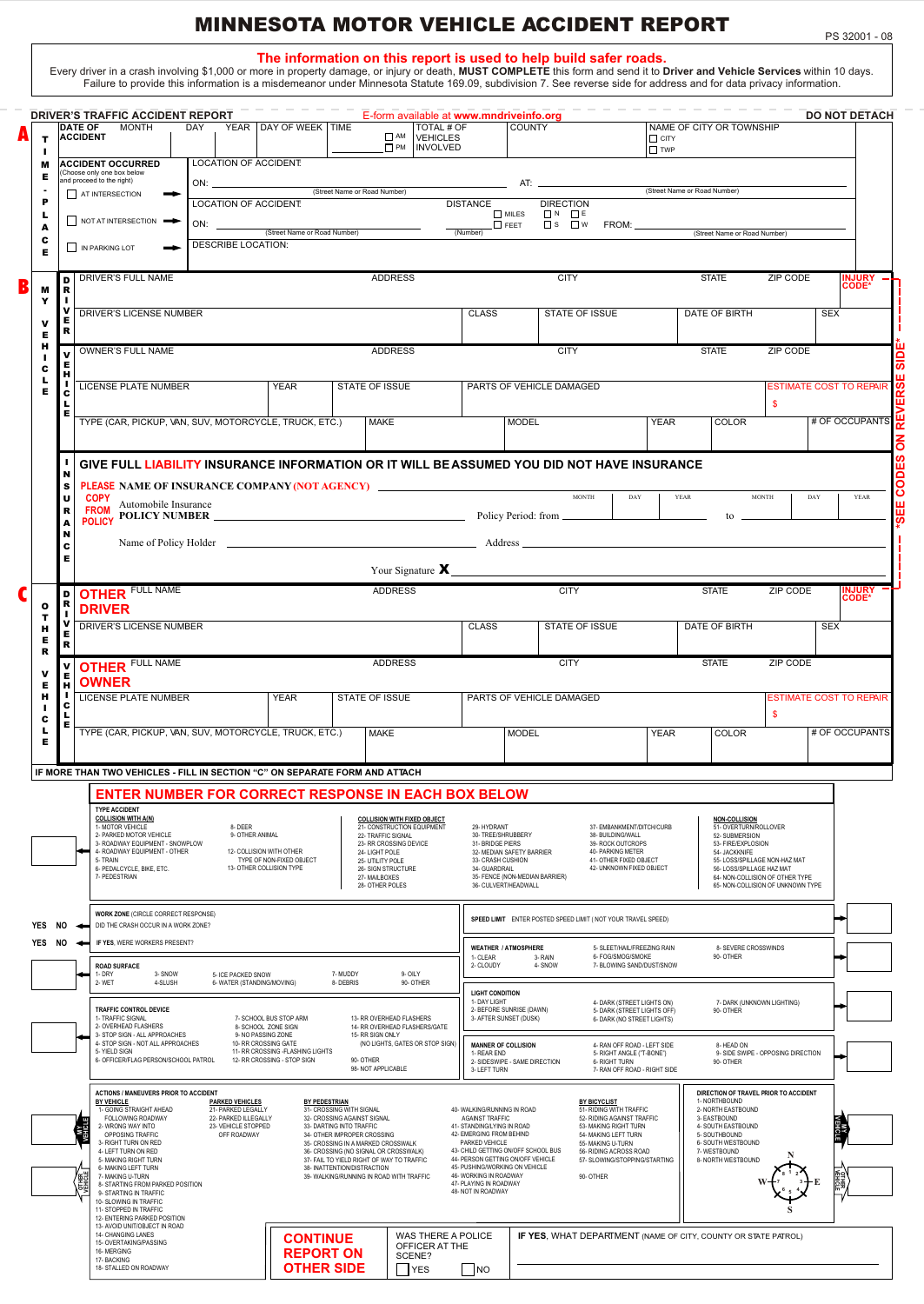## MINNESOTA MOTOR VEHICLE ACCIDENT REPORT

**The information on this report is used to help build safer roads.**<br>.Every driver in a crash involving \$1,000 or more in property damage, or injury or death, MUST COMPLETE this form and send it to Driver and Vehicle Servic

|               |                   | <b>MONTH</b><br><b>DATE OF</b><br><b>ACCIDENT</b>                                                         | <b>DAY</b> |                                                                   | YEAR DAY OF WEEK TIME                                             |                                                                                     | □ AM VEHICLES                                                                          | TOTAL # OF                                                                                    | <b>COUNTY</b>                                          |                                                                                              | $\Box$ CITY                  |                              | NAME OF CITY OR TOWNSHIP                                        |                                                                      |            |                                                  |
|---------------|-------------------|-----------------------------------------------------------------------------------------------------------|------------|-------------------------------------------------------------------|-------------------------------------------------------------------|-------------------------------------------------------------------------------------|----------------------------------------------------------------------------------------|-----------------------------------------------------------------------------------------------|--------------------------------------------------------|----------------------------------------------------------------------------------------------|------------------------------|------------------------------|-----------------------------------------------------------------|----------------------------------------------------------------------|------------|--------------------------------------------------|
| ш<br>м        |                   | <b>ACCIDENT OCCURRED</b><br>Choose only one box below                                                     |            | LOCATION OF ACCIDENT.                                             |                                                                   |                                                                                     | <b>D</b> PM   INVOLVED                                                                 |                                                                                               |                                                        |                                                                                              | $\square$ TWP                |                              |                                                                 |                                                                      |            |                                                  |
| Е<br>P        |                   | and proceed to the right)<br>AT INTERSECTION                                                              |            |                                                                   |                                                                   | (Street Name or Road Number)                                                        |                                                                                        |                                                                                               |                                                        |                                                                                              | (Street Name or Road Number) |                              |                                                                 |                                                                      |            |                                                  |
|               |                   | NOT AT INTERSECTION                                                                                       |            | <b>LOCATION OF ACCIDENT:</b><br>ON: $\qquad \qquad$               |                                                                   |                                                                                     |                                                                                        | <b>DISTANCE</b>                                                                               | $\Box$ MILES<br>$\Box$ FEET                            | <b>DIRECTION</b><br>$\Box$ N $\Box$ E<br>$\square$ s $\square$ w<br><b>FROM:</b>             |                              |                              |                                                                 |                                                                      |            |                                                  |
| A<br>c<br>Е   |                   | IN PARKING LOT                                                                                            |            | <b>DESCRIBE LOCATION:</b>                                         | (Street Name or Road Number)                                      |                                                                                     |                                                                                        | (Number)                                                                                      |                                                        |                                                                                              |                              |                              | (Street Name or Road Number)                                    |                                                                      |            |                                                  |
|               | D                 | <b>DRIVER'S FULL NAME</b>                                                                                 |            |                                                                   |                                                                   |                                                                                     | <b>ADDRESS</b>                                                                         |                                                                                               |                                                        | <b>CITY</b>                                                                                  |                              | <b>STATE</b>                 |                                                                 | <b>ZIP CODE</b>                                                      |            | <b>INJURY</b>                                    |
| м<br>Y        | R  <br>л.         |                                                                                                           |            |                                                                   |                                                                   |                                                                                     |                                                                                        |                                                                                               |                                                        |                                                                                              |                              |                              |                                                                 | <b>CODE*</b>                                                         |            |                                                  |
| Е             | v<br>Е<br>R       | DRIVER'S LICENSE NUMBER                                                                                   |            |                                                                   |                                                                   |                                                                                     |                                                                                        | <b>CLASS</b>                                                                                  |                                                        | STATE OF ISSUE                                                                               |                              | DATE OF BIRTH                |                                                                 |                                                                      | <b>SEX</b> |                                                  |
| н             | v                 | <b>OWNER'S FULL NAME</b>                                                                                  |            |                                                                   |                                                                   |                                                                                     | <b>ADDRESS</b>                                                                         |                                                                                               |                                                        | <b>CITY</b>                                                                                  |                              | <b>STATE</b>                 |                                                                 | <b>ZIP CODE</b>                                                      |            |                                                  |
| c<br>Е        | Е<br>н            | <b>LICENSE PLATE NUMBER</b>                                                                               |            |                                                                   | <b>YEAR</b>                                                       |                                                                                     | STATE OF ISSUE                                                                         |                                                                                               | PARTS OF VEHICLE DAMAGED                               |                                                                                              |                              |                              |                                                                 | <b>ESTIMATE COST TO REPAIR</b>                                       |            |                                                  |
|               | c<br>г<br>Е       |                                                                                                           |            |                                                                   |                                                                   |                                                                                     |                                                                                        |                                                                                               |                                                        |                                                                                              |                              |                              |                                                                 | $\mathbf{s}$                                                         |            |                                                  |
|               |                   | TYPE (CAR, PICKUP, VAN, SUV, MOTORCYCLE, TRUCK, ETC.)                                                     |            |                                                                   |                                                                   |                                                                                     | <b>MAKE</b>                                                                            |                                                                                               | <b>MODEL</b>                                           |                                                                                              | <b>YEAR</b>                  |                              | <b>COLOR</b>                                                    |                                                                      |            | # OF OCCUPANTS                                   |
|               |                   | GIVE FULL LIABILITY INSURANCE INFORMATION OR IT WILL BE ASSUMED YOU DID NOT HAVE INSURANCE                |            |                                                                   |                                                                   |                                                                                     |                                                                                        |                                                                                               |                                                        |                                                                                              |                              |                              |                                                                 |                                                                      |            |                                                  |
|               | N<br>s<br>U       | <b>PLEASE NAME OF INSURANCE COMPANY (NOT AGENCY)</b>                                                      |            |                                                                   |                                                                   |                                                                                     |                                                                                        |                                                                                               |                                                        | <b>MONTH</b><br>DAY                                                                          |                              | YEAR                         |                                                                 | <b>MONTH</b>                                                         | DAY        | YEAR                                             |
|               | R<br>A            | <b>FROM</b> Automobile Insurance<br>FROM AND RESERVED IN THE MANUSCRIPTION OF POLICY POLICY POLICY NUMBER |            |                                                                   |                                                                   |                                                                                     |                                                                                        |                                                                                               |                                                        |                                                                                              |                              |                              | to _                                                            |                                                                      |            |                                                  |
|               | N<br>c            |                                                                                                           |            |                                                                   |                                                                   |                                                                                     |                                                                                        |                                                                                               |                                                        |                                                                                              |                              |                              |                                                                 |                                                                      |            |                                                  |
|               | Е                 |                                                                                                           |            |                                                                   |                                                                   |                                                                                     |                                                                                        |                                                                                               |                                                        |                                                                                              |                              |                              |                                                                 |                                                                      |            |                                                  |
| $\mathbf o$   | D<br>R            | <b>OTHER FULL NAME</b>                                                                                    |            |                                                                   |                                                                   |                                                                                     | <b>ADDRESS</b>                                                                         |                                                                                               |                                                        | <b>CITY</b>                                                                                  |                              | <b>STATE</b>                 |                                                                 | ZIP CODE                                                             |            | <b>INJURY</b><br><b>CODE*</b>                    |
| т<br>н        | v                 | <b>DRIVER</b><br>DRIVER'S LICENSE NUMBER                                                                  |            |                                                                   |                                                                   |                                                                                     |                                                                                        | <b>CLASS</b>                                                                                  | STATE OF ISSUE                                         |                                                                                              |                              |                              | <b>SEX</b><br>DATE OF BIRTH                                     |                                                                      |            |                                                  |
| Е<br>R        | Е<br>$\mathbf{R}$ |                                                                                                           |            |                                                                   |                                                                   |                                                                                     |                                                                                        |                                                                                               |                                                        |                                                                                              |                              |                              |                                                                 |                                                                      |            |                                                  |
| ν             | v<br>Е            | <b>OTHER FULL NAME</b>                                                                                    |            |                                                                   |                                                                   |                                                                                     | <b>ADDRESS</b><br><b>CITY</b><br><b>STATE</b><br>ZIP CODE                              |                                                                                               |                                                        |                                                                                              |                              |                              |                                                                 |                                                                      |            |                                                  |
|               |                   |                                                                                                           |            |                                                                   |                                                                   |                                                                                     |                                                                                        |                                                                                               |                                                        |                                                                                              |                              |                              |                                                                 |                                                                      |            |                                                  |
| Е<br>н<br>п   | н<br>т.<br>c      | <b>OWNER</b><br><b>LICENSE PLATE NUMBER</b>                                                               |            |                                                                   | <b>YEAR</b>                                                       |                                                                                     | <b>STATE OF ISSUE</b>                                                                  |                                                                                               | PARTS OF VEHICLE DAMAGED                               |                                                                                              |                              |                              |                                                                 |                                                                      |            |                                                  |
| c<br>ц        | L<br>Е            | TYPE (CAR, PICKUP, VAN, SUV, MOTORCYCLE, TRUCK, ETC.)                                                     |            |                                                                   |                                                                   |                                                                                     | <b>MAKE</b>                                                                            |                                                                                               | <b>MODEL</b>                                           |                                                                                              | <b>YEAR</b>                  |                              | COLOR                                                           | $\mathbf{\$}$                                                        |            | <b>ESTIMATE COST TO REPAIR</b><br># OF OCCUPANTS |
|               |                   |                                                                                                           |            |                                                                   |                                                                   |                                                                                     |                                                                                        |                                                                                               |                                                        |                                                                                              |                              |                              |                                                                 |                                                                      |            |                                                  |
| Е             |                   | IF MORE THAN TWO VEHICLES - FILL IN SECTION "C" ON SEPARATE FORM AND ATTACH                               |            |                                                                   |                                                                   |                                                                                     |                                                                                        |                                                                                               |                                                        |                                                                                              |                              |                              |                                                                 |                                                                      |            |                                                  |
|               |                   | <b>ENTER NUMBER FOR CORRECT RESPONSE IN EACH BOX BELOW</b><br><b>TYPE ACCIDENT</b>                        |            |                                                                   |                                                                   |                                                                                     |                                                                                        |                                                                                               |                                                        |                                                                                              |                              |                              |                                                                 |                                                                      |            |                                                  |
|               |                   | <b>COLLISION WITH A(N)</b><br>1- MOTOR VEHICLE<br>2- PARKED MOTOR VEHICLE                                 |            | 8-DEER<br>9- OTHER ANIMAL                                         |                                                                   |                                                                                     | <b>COLLISION WITH FIXED OBJECT</b><br>21- CONSTRUCTION EQUIPMENT<br>22- TRAFFIC SIGNAL | 29- HYDRANT<br>30- TREE/SHRUBBERY                                                             |                                                        | 37- EMBANKMENT/DITCH/CURB<br>38- BUILDING/WALL                                               |                              |                              | <b>NON-COLLISION</b><br>51- OVERTURN/ROLLOVER<br>52- SUBMERSION |                                                                      |            |                                                  |
|               |                   | 3- ROADWAY EQUIPMENT - SNOWPLOW<br>4- ROADWAY EQUIPMENT - OTHER<br>5- TRAIN                               |            |                                                                   | 12- COLLISION WITH OTHER<br>TYPE OF NON-FIXED OBJECT              |                                                                                     | 23- RR CROSSING DEVICE<br>24- LIGHT POLE<br>25- UTILITY POLE                           | 31- BRIDGE PIERS<br>33- CRASH CUSHION                                                         | 32- MEDIAN SAFETY BARRIER                              | 39- ROCK OUTCROPS<br>40- PARKING METER<br>41- OTHER FIXED OBJECT<br>42- UNKNOWN FIXED OBJECT |                              |                              | 53- FIRE/EXPLOSION<br>54- JACKKNIFE                             | 55- LOSS/SPILLAGE NON-HAZ MAT                                        |            |                                                  |
|               |                   | 6- PEDALCYCLE, BIKE, ETC.<br>7- PEDESTRIAN                                                                |            |                                                                   | 13- OTHER COLLISION TYPE                                          |                                                                                     | 26- SIGN STRUCTURE<br>27-MAILBOXES<br>28- OTHER POLES                                  | 34- GUARDRAIL                                                                                 | 35- FENCE (NON-MEDIAN BARRIER)<br>36- CULVERT/HEADWALL |                                                                                              |                              |                              | 56- LOSS/SPILLAGE HAZ MAT                                       | 64- NON-COLLISION OF OTHER TYPE<br>65- NON-COLLISION OF UNKNOWN TYPE |            |                                                  |
|               |                   | WORK ZONE (CIRCLE CORRECT RESPONSE)                                                                       |            |                                                                   |                                                                   |                                                                                     |                                                                                        |                                                                                               |                                                        | SPEED LIMIT ENTER POSTED SPEED LIMIT ( NOT YOUR TRAVEL SPEED)                                |                              |                              |                                                                 |                                                                      |            |                                                  |
|               | NO                | DID THE CRASH OCCUR IN A WORK ZONE?<br>IF YES. WERE WORKERS PRESENT?                                      |            |                                                                   |                                                                   |                                                                                     |                                                                                        |                                                                                               |                                                        |                                                                                              |                              |                              |                                                                 |                                                                      |            |                                                  |
|               |                   | <b>ROAD SURFACE</b>                                                                                       |            |                                                                   |                                                                   |                                                                                     |                                                                                        | 1- CLEAR<br>2- CLOUDY                                                                         | <b>WEATHER / ATMOSPHERE</b><br>3- RAIN<br>4- SNOW      | 5- SLEET/HAIL/FREEZING RAIN<br>6- FOG/SMOG/SMOKE<br>7- BLOWING SAND/DUST/SNOW                |                              |                              | 8- SEVERE CROSSWINDS<br>90- OTHER                               |                                                                      |            |                                                  |
|               |                   | 1-DRY<br>3- SNOW<br>2-WET<br>4-SLUSH                                                                      |            | 5- ICE PACKED SNOW<br>6- WATER (STANDING/MOVING)                  |                                                                   | 7-MUDDY<br>8- DEBRIS                                                                | 9-OILY<br>90-OTHER                                                                     | <b>LIGHT CONDITION</b>                                                                        |                                                        |                                                                                              |                              |                              |                                                                 |                                                                      |            |                                                  |
|               |                   | TRAFFIC CONTROL DEVICE<br>1- TRAFFIC SIGNAL                                                               |            |                                                                   | 7- SCHOOL BUS STOP ARM                                            |                                                                                     | 13- RR OVERHEAD FLASHERS                                                               | 1- DAY LIGHT                                                                                  | 2- BEFORE SUNRISE (DAWN)<br>3- AFTER SUNSET (DUSK)     | 4- DARK (STREET LIGHTS ON)<br>5- DARK (STREET LIGHTS OFF)<br>6- DARK (NO STREET LIGHTS)      |                              |                              | 90- OTHER                                                       | 7- DARK (UNKNOWN LIGHTING)                                           |            |                                                  |
|               |                   | 2- OVERHEAD FLASHERS<br>3- STOP SIGN - ALL APPROACHES<br>4- STOP SIGN - NOT ALL APPROACHES                |            |                                                                   | 8- SCHOOL ZONE SIGN<br>9- NO PASSING ZONE<br>10- RR CROSSING GATE |                                                                                     | 14- RR OVERHEAD FLASHERS/GATE<br>15- RR SIGN ONLY<br>(NO LIGHTS, GATES OR STOP SIGN)   | <b>MANNER OF COLLISION</b>                                                                    |                                                        | 4- RAN OFF ROAD - LEFT SIDE                                                                  |                              |                              | 8- HEAD ON                                                      |                                                                      |            |                                                  |
|               |                   | 5-YIELD SIGN<br>6- OFFICER/FLAG PERSON/SCHOOL PATROL                                                      |            |                                                                   | 11- RR CROSSING - FLASHING LIGHTS<br>12- RR CROSSING - STOP SIGN  | 90-OTHER                                                                            | 98-NOT APPLICABLE                                                                      | 1- REAR END<br>3- LEFT TURN                                                                   | 2- SIDESWIPE - SAME DIRECTION                          | 5- RIGHT ANGLE ("T-BONE")<br>6- RIGHT TURN<br>7- RAN OFF ROAD - RIGHT SIDE                   |                              |                              | 90- OTHER                                                       | 9- SIDE SWIPE - OPPOSING DIRECTION                                   |            |                                                  |
| YES<br>YES NO |                   | <b>ACTIONS / MANEUVERS PRIOR TO ACCIDENT</b><br><b>BY VEHICLE</b>                                         |            | <b>PARKED VEHICLES</b>                                            |                                                                   | <b>BY PEDESTRIAN</b>                                                                |                                                                                        |                                                                                               |                                                        | <b>BY BICYCLIST</b>                                                                          |                              | 1- NORTHBOUND                |                                                                 | DIRECTION OF TRAVEL PRIOR TO ACCIDENT                                |            |                                                  |
|               |                   | 1- GOING STRAIGHT AHEAD<br>FOLLOWING ROADWAY<br>2- WRONG WAY INTO                                         |            | 21- PARKED LEGALLY<br>22- PARKED ILLEGALLY<br>23- VEHICLE STOPPED |                                                                   | 31- CROSSING WITH SIGNAL<br>32- CROSSING AGAINST SIGNAL<br>33- DARTING INTO TRAFFIC |                                                                                        | 40- WALKING/RUNNING IN ROAD<br><b>AGAINST TRAFFIC</b><br>41- STANDING/LYING IN ROAD           |                                                        | 51- RIDING WITH TRAFFIC<br>52- RIDING AGAINST TRAFFIC<br>53- MAKING RIGHT TURN               |                              | 3- EASTBOUND                 | 2- NORTH EASTBOUND<br>4- SOUTH EASTBOUND                        |                                                                      |            |                                                  |
|               |                   | OPPOSING TRAFFIC<br>3- RIGHT TURN ON RED<br>4- LEFT TURN ON RED                                           |            | OFF ROADWAY                                                       |                                                                   | 34- OTHER IMPROPER CROSSING                                                         | 35- CROSSING IN A MARKED CROSSWALK<br>36- CROSSING (NO SIGNAL OR CROSSWALK)            | 42- EMERGING FROM BEHIND<br>PARKED VEHICLE                                                    | 43- CHILD GETTING ON/OFF SCHOOL BUS                    | 54- MAKING LEFT TURN<br>55- MAKING U-TURN<br>56- RIDING ACROSS ROAD                          |                              | 5- SOUTHBOUND<br>7-WESTBOUND | 6- SOUTH WESTBOUND                                              |                                                                      |            |                                                  |
|               |                   | 5- MAKING RIGHT TURN<br>6- MAKING LEFT TURN<br>7- MAKING U-TURN                                           |            |                                                                   |                                                                   | 38- INATTENTION/DISTRACTION                                                         | 37- FAIL TO YIELD RIGHT OF WAY TO TRAFFIC<br>39- WALKING/RUNNING IN ROAD WITH TRAFFIC  | 44- PERSON GETTING ON/OFF VEHICLE<br>45- PUSHING/WORKING ON VEHICLE<br>46- WORKING IN ROADWAY |                                                        | 57- SLOWING/STOPPING/STARTING<br>90- OTHER                                                   |                              |                              | 8- NORTH WESTBOUND                                              |                                                                      |            |                                                  |
|               |                   | 8- STARTING FROM PARKED POSITION<br>9- STARTING IN TRAFFIC                                                |            |                                                                   |                                                                   |                                                                                     |                                                                                        | 47- PLAYING IN ROADWAY<br>48- NOT IN ROADWAY                                                  |                                                        |                                                                                              |                              |                              |                                                                 |                                                                      |            |                                                  |
|               |                   | 10- SLOWING IN TRAFFIC<br>11- STOPPED IN TRAFFIC<br>12- ENTERING PARKED POSITION                          |            |                                                                   |                                                                   |                                                                                     |                                                                                        |                                                                                               |                                                        |                                                                                              |                              |                              |                                                                 |                                                                      |            |                                                  |
|               |                   | 13- AVOID UNIT/OBJECT IN ROAD<br>14- CHANGING LANES<br>15- OVERTAKING/PASSING<br>16-MERGING               |            |                                                                   | <b>CONTINUE</b><br><b>REPORT ON</b>                               |                                                                                     | OFFICER AT THE<br>SCENE?                                                               | WAS THERE A POLICE                                                                            |                                                        | IF YES, WHAT DEPARTMENT (NAME OF CITY, COUNTY OR STATE PATROL)                               |                              |                              |                                                                 |                                                                      |            |                                                  |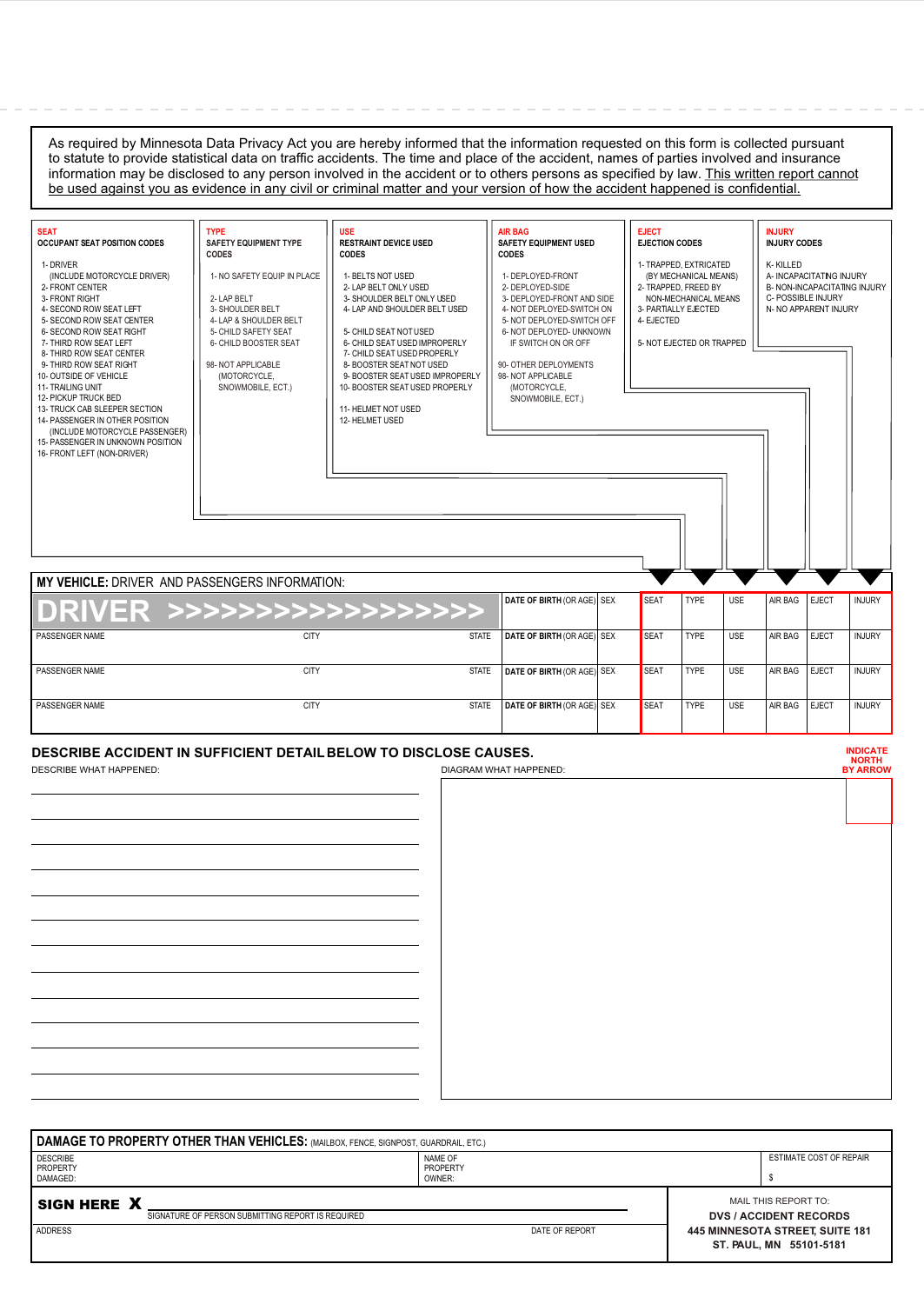As required by Minnesota Data Privacy Act you are hereby informed that the information requested on this form is collected pursuant to statute to provide statistical data on traffic accidents. The time and place of the accident, names of parties involved and insurance information may be disclosed to any person involved in the accident or to others persons as specified by law. This written report cannot be used against you as evidence in any civil or criminal matter and your version of how the accident happened is confidential.

| <b>SEAT</b><br><b>OCCUPANT SEAT POSITION CODES</b><br>1- DRIVER<br>(INCLUDE MOTORCYCLE DRIVER)<br>2- FRONT CENTER<br>3- FRONT RIGHT<br>4- SECOND ROW SEAT LEFT<br>5- SECOND ROW SEAT CENTER<br>6- SECOND ROW SEAT RIGHT<br>7- THIRD ROW SEAT LEFT<br>8- THIRD ROW SEAT CENTER<br>9- THIRD ROW SEAT RIGHT<br>10- OUTSIDE OF VEHICLE<br>11- TRAILING UNIT<br><b>12- PICKUP TRUCK BED</b><br>13- TRUCK CAB SLEEPER SECTION<br>14- PASSENGER IN OTHER POSITION<br>(INCLUDE MOTORCYCLE PASSENGER)<br>15- PASSENGER IN UNKNOWN POSITION<br>16- FRONT LEFT (NON-DRIVER) | <b>TYPE</b><br><b>SAFETY EQUIPMENT TYPE</b><br><b>CODES</b><br>1- NO SAFETY EQUIP IN PLACE<br>2-LAP BELT<br>3- SHOULDER BELT<br>4- LAP & SHOULDER BELT<br>5- CHILD SAFETY SEAT<br>6- CHILD BOOSTER SEAT<br>98-NOT APPLICABLE<br>(MOTORCYCLE,<br>SNOWMOBILE, ECT.) | <b>USE</b><br><b>RESTRAINT DEVICE USED</b><br><b>CODES</b><br>1- BELTS NOT USED<br>2- LAP BELT ONLY USED<br>3- SHOULDER BELT ONLY USED<br>4- LAP AND SHOULDER BELT USED<br>5- CHILD SEAT NOT USED<br>6- CHILD SEAT USED IMPROPERLY<br>7- CHILD SEAT USED PROPERLY<br>8- BOOSTER SEAT NOT USED<br>9- BOOSTER SEAT USED IMPROPERLY<br>10- BOOSTER SEAT USED PROPERLY<br>11- HELMET NOT USED<br>12- HELMET USED |                                                           | <b>AIR BAG</b><br><b>SAFETY EQUIPMENT USED</b><br><b>CODES</b><br>1- DEPLOYED-FRONT<br>2- DEPLOYED-SIDE<br>3- DEPLOYED-FRONT AND SIDE<br>4- NOT DEPLOYED-SWITCH ON<br>5- NOT DEPLOYED-SWITCH OFF<br>6- NOT DEPLOYED- UNKNOWN<br>IF SWITCH ON OR OFF<br>90- OTHER DEPLOYMENTS<br>98-NOT APPLICABLE<br>(MOTORCYCLE,<br>SNOWMOBILE, ECT.) |  | <b>EJECT</b><br><b>EJECTION CODES</b><br>2- TRAPPED. FREED BY<br>3- PARTIALLY EJECTED<br>4- EJECTED | 1- TRAPPED. EXTRICATED<br>(BY MECHANICAL MEANS)<br>NON-MECHANICAL MEANS<br>5- NOT EJECTED OR TRAPPED |            | <b>INJURY</b><br><b>INJURY CODES</b><br>K-KILLED<br>A-INCAPACITATING INJURY<br>C- POSSIBLE INJURY<br>N- NO APPARENT INJURY |              | <b>B- NON-INCAPACITATING INJURY</b>                |
|------------------------------------------------------------------------------------------------------------------------------------------------------------------------------------------------------------------------------------------------------------------------------------------------------------------------------------------------------------------------------------------------------------------------------------------------------------------------------------------------------------------------------------------------------------------|-------------------------------------------------------------------------------------------------------------------------------------------------------------------------------------------------------------------------------------------------------------------|--------------------------------------------------------------------------------------------------------------------------------------------------------------------------------------------------------------------------------------------------------------------------------------------------------------------------------------------------------------------------------------------------------------|-----------------------------------------------------------|----------------------------------------------------------------------------------------------------------------------------------------------------------------------------------------------------------------------------------------------------------------------------------------------------------------------------------------|--|-----------------------------------------------------------------------------------------------------|------------------------------------------------------------------------------------------------------|------------|----------------------------------------------------------------------------------------------------------------------------|--------------|----------------------------------------------------|
| <b>MY VEHICLE: DRIVER AND PASSENGERS INFORMATION:</b>                                                                                                                                                                                                                                                                                                                                                                                                                                                                                                            |                                                                                                                                                                                                                                                                   |                                                                                                                                                                                                                                                                                                                                                                                                              |                                                           |                                                                                                                                                                                                                                                                                                                                        |  |                                                                                                     |                                                                                                      |            |                                                                                                                            |              |                                                    |
| DRIVER >>>>>>>>>>>>>>>>>>>>                                                                                                                                                                                                                                                                                                                                                                                                                                                                                                                                      |                                                                                                                                                                                                                                                                   |                                                                                                                                                                                                                                                                                                                                                                                                              |                                                           | DATE OF BIRTH (OR AGE) SEX                                                                                                                                                                                                                                                                                                             |  | <b>SEAT</b>                                                                                         | <b>TYPE</b>                                                                                          | <b>USE</b> | AIR BAG                                                                                                                    | <b>EJECT</b> | <b>INJURY</b>                                      |
| PASSENGER NAME                                                                                                                                                                                                                                                                                                                                                                                                                                                                                                                                                   | <b>CITY</b>                                                                                                                                                                                                                                                       |                                                                                                                                                                                                                                                                                                                                                                                                              | <b>STATE</b>                                              | DATE OF BIRTH (OR AGE) SEX                                                                                                                                                                                                                                                                                                             |  | <b>SEAT</b>                                                                                         | <b>TYPE</b>                                                                                          | <b>USE</b> | AIR BAG                                                                                                                    | <b>EJECT</b> | <b>INJURY</b>                                      |
| PASSENGER NAME                                                                                                                                                                                                                                                                                                                                                                                                                                                                                                                                                   | CITY                                                                                                                                                                                                                                                              |                                                                                                                                                                                                                                                                                                                                                                                                              | <b>STATE</b>                                              | DATE OF BIRTH (OR AGE) SEX                                                                                                                                                                                                                                                                                                             |  | <b>SEAT</b>                                                                                         | <b>TYPE</b>                                                                                          | <b>USE</b> | AIR BAG                                                                                                                    | <b>EJECT</b> | <b>INJURY</b>                                      |
| PASSENGER NAME                                                                                                                                                                                                                                                                                                                                                                                                                                                                                                                                                   | <b>CITY</b>                                                                                                                                                                                                                                                       |                                                                                                                                                                                                                                                                                                                                                                                                              | DATE OF BIRTH (OR AGE) SEX<br><b>SEAT</b><br><b>STATE</b> |                                                                                                                                                                                                                                                                                                                                        |  |                                                                                                     | <b>TYPE</b>                                                                                          | <b>USE</b> | AIR BAG                                                                                                                    | <b>EJECT</b> | <b>INJURY</b>                                      |
| <b>DESCRIBE ACCIDENT IN SUFFICIENT DETAIL BELOW TO DISCLOSE CAUSES.</b><br><b>DESCRIBE WHAT HAPPENED:</b><br>DIAGRAM WHAT HAPPENED:                                                                                                                                                                                                                                                                                                                                                                                                                              |                                                                                                                                                                                                                                                                   |                                                                                                                                                                                                                                                                                                                                                                                                              |                                                           |                                                                                                                                                                                                                                                                                                                                        |  |                                                                                                     |                                                                                                      |            |                                                                                                                            |              | <b>INDICATE</b><br><b>NORTH</b><br><b>BY ARROW</b> |

| DAMAGE TO PROPERTY OTHER THAN VEHICLES: (MAILBOX, FENCE, SIGNPOST, GUARDRAIL, ETC.) |                                                                   |                               |                         |  |  |  |  |  |  |  |
|-------------------------------------------------------------------------------------|-------------------------------------------------------------------|-------------------------------|-------------------------|--|--|--|--|--|--|--|
| <b>DESCRIBE</b><br><b>PROPERTY</b><br>DAMAGED:                                      | NAME OF<br>PROPERTY<br>OWNER:                                     |                               | ESTIMATE COST OF REPAIR |  |  |  |  |  |  |  |
|                                                                                     |                                                                   |                               |                         |  |  |  |  |  |  |  |
| SIGN HERE X                                                                         |                                                                   | MAIL THIS REPORT TO:          |                         |  |  |  |  |  |  |  |
| SIGNATURE OF PERSON SUBMITTING REPORT IS REQUIRED                                   |                                                                   | <b>DVS / ACCIDENT RECORDS</b> |                         |  |  |  |  |  |  |  |
| ADDRESS                                                                             | <b>445 MINNESOTA STREET, SUITE 181</b><br>ST. PAUL, MN 55101-5181 |                               |                         |  |  |  |  |  |  |  |